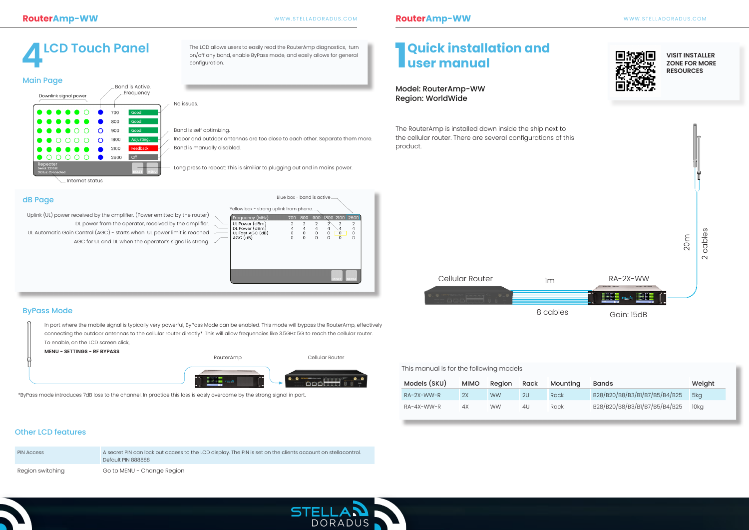The RouterAmp is installed down inside the ship next to the cellular router. There are several configurations of this product.

The LCD allows users to easily read the RouterAmp diagnostics, turn on/off any band, enable ByPass mode, and easily allows for general configuration.

| This manual is for the following models |           |      |          |                               |                 |
|-----------------------------------------|-----------|------|----------|-------------------------------|-----------------|
| <b>MIMO</b>                             | Region    | Rack | Mounting | <b>Bands</b>                  | Weight          |
| 2X                                      | <b>WW</b> | 2U   | Rack     | B28/B20/B8/B3/B1/B7/B5/B4/B25 | 5ka             |
| 4X                                      | <b>WW</b> | 4U   | Rack     | B28/B20/B8/B3/B1/B7/B5/B4/B25 | 10 <sub>k</sub> |
|                                         |           |      |          |                               |                 |

#### dB Page

#### ByPass Mode

# **4LCD Touch Panel 1**

**Quick installation and** 

## **user manual**

#### Model: RouterAmp-WW Region: WorldWide

**VISIT INSTALLER ZONE FOR MORE RESOURCES**

Uplink (UL) power received by the amplifier. (Power emitted by the router) DL power from the operator, received by the amplifier. UL Automatic Gain Control (AGC) - starts when UL power limit is reached AGC for UL and DL when the operator's signal is strong.  $\angle$ 

Long press to reboot: This is similiar to plugging out and in mains power.

No issues.

Band is self optimizing.

Indoor and outdoor antennas are too close to each other. Separate them more.

| <b>Main Page</b>                                       |   |      |                              |
|--------------------------------------------------------|---|------|------------------------------|
| Downlink signal power                                  |   |      | Band is Active.<br>Frequency |
|                                                        |   | 700  | Good                         |
|                                                        |   | 800  | Good                         |
|                                                        | O | 900  | Good                         |
|                                                        | O | 1800 | Adjusting                    |
|                                                        |   | 2100 | <b>Feedback</b>              |
|                                                        |   | 2600 | Off                          |
| Repeater<br>Serial: 2200JE<br><b>Status: Connected</b> |   |      | <b>MENU</b><br><b>RESET</b>  |
| Internet status                                        |   |      |                              |

Band is manually disabled.

|                     |                                                                    |                  | Blue box - band is active. |                                            |                                                                                    |                         |  |
|---------------------|--------------------------------------------------------------------|------------------|----------------------------|--------------------------------------------|------------------------------------------------------------------------------------|-------------------------|--|
|                     | Yellow box - strong uplink from phone. -                           |                  |                            |                                            |                                                                                    |                         |  |
|                     | Frequency (MHz)                                                    | 700              | 800                        |                                            | 900 1800 2100 2600                                                                 |                         |  |
| $\overline{a}$<br>- | UL Power (dBm)<br>DL Power (dBm)<br>UL Fast AGC (dB)<br>$AGC$ (dB) | 2<br>4<br>0<br>O | 2<br>4<br>0<br>0           | $\overline{2}$<br>$\overline{a}$<br>0<br>0 | $\overline{2}$<br>$\overline{2}$<br>4<br>$\overline{4}$<br>0<br>0<br>0<br>$\Omega$ | 2<br>4<br>0<br>$\Omega$ |  |
|                     |                                                                    |                  |                            |                                            | <b>RESET</b>                                                                       | <b>MENU</b>             |  |
|                     |                                                                    |                  |                            |                                            |                                                                                    |                         |  |

In port where the mobile signal is typically very powerful, ByPass Mode can be enabled. This mode will bypass the RouterAmp, effectively connecting the outdoor antennas to the cellular router directly\*. This will allow frequencies like 3.5GHz 5G to reach the cellular router. To enable, on the LCD screen click,

**MENU - SETTINGS - RF BYPASS**

\*ByPass mode introduces 7dB loss to the channel. In practice this loss is easly overcome by the strong signal in port.



| <b>PIN Access</b> | A secret PIN can lock out access to the LCD display. The PIN is set on the clients account on stellacontrol.<br>Default PIN 888888 |
|-------------------|------------------------------------------------------------------------------------------------------------------------------------|
| Region switching  | Go to MENU - Change Region                                                                                                         |





### Other LCD features